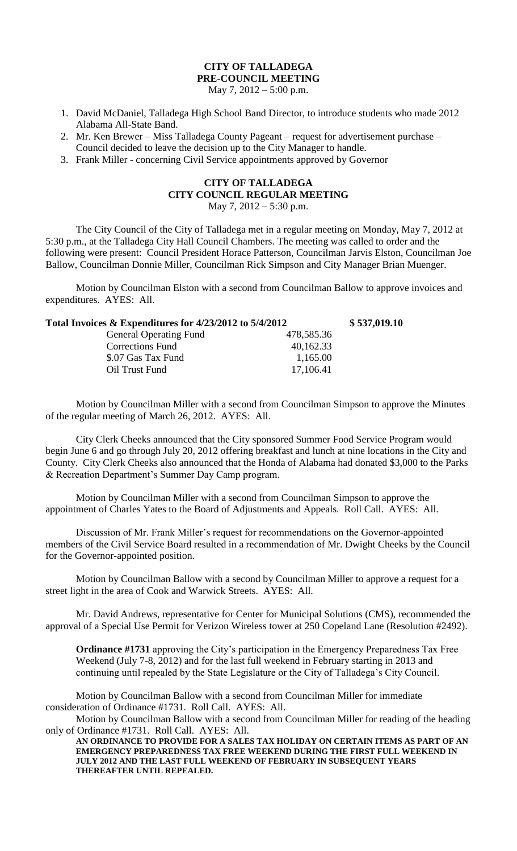## **CITY OF TALLADEGA PRE-COUNCIL MEETING**

May 7, 2012 – 5:00 p.m.

- 1. David McDaniel, Talladega High School Band Director, to introduce students who made 2012 Alabama All-State Band.
- 2. Mr. Ken Brewer Miss Talladega County Pageant request for advertisement purchase Council decided to leave the decision up to the City Manager to handle.
- 3. Frank Miller concerning Civil Service appointments approved by Governor

## **CITY OF TALLADEGA CITY COUNCIL REGULAR MEETING** May 7, 2012 – 5:30 p.m.

The City Council of the City of Talladega met in a regular meeting on Monday, May 7, 2012 at 5:30 p.m., at the Talladega City Hall Council Chambers. The meeting was called to order and the following were present: Council President Horace Patterson, Councilman Jarvis Elston, Councilman Joe Ballow, Councilman Donnie Miller, Councilman Rick Simpson and City Manager Brian Muenger.

Motion by Councilman Elston with a second from Councilman Ballow to approve invoices and expenditures. AYES: All.

| Total Invoices & Expenditures for 4/23/2012 to 5/4/2012 |            | \$537,019.10 |
|---------------------------------------------------------|------------|--------------|
| <b>General Operating Fund</b>                           | 478,585.36 |              |
| <b>Corrections Fund</b>                                 | 40,162.33  |              |
| \$.07 Gas Tax Fund                                      | 1,165.00   |              |
| Oil Trust Fund                                          | 17,106.41  |              |

Motion by Councilman Miller with a second from Councilman Simpson to approve the Minutes of the regular meeting of March 26, 2012. AYES: All.

City Clerk Cheeks announced that the City sponsored Summer Food Service Program would begin June 6 and go through July 20, 2012 offering breakfast and lunch at nine locations in the City and County. City Clerk Cheeks also announced that the Honda of Alabama had donated \$3,000 to the Parks & Recreation Department's Summer Day Camp program.

Motion by Councilman Miller with a second from Councilman Simpson to approve the appointment of Charles Yates to the Board of Adjustments and Appeals. Roll Call. AYES: All.

Discussion of Mr. Frank Miller's request for recommendations on the Governor-appointed members of the Civil Service Board resulted in a recommendation of Mr. Dwight Cheeks by the Council for the Governor-appointed position.

Motion by Councilman Ballow with a second by Councilman Miller to approve a request for a street light in the area of Cook and Warwick Streets. AYES: All.

Mr. David Andrews, representative for Center for Municipal Solutions (CMS), recommended the approval of a Special Use Permit for Verizon Wireless tower at 250 Copeland Lane (Resolution #2492).

**Ordinance #1731** approving the City's participation in the Emergency Preparedness Tax Free Weekend (July 7-8, 2012) and for the last full weekend in February starting in 2013 and continuing until repealed by the State Legislature or the City of Talladega's City Council.

Motion by Councilman Ballow with a second from Councilman Miller for immediate consideration of Ordinance #1731. Roll Call. AYES: All.

Motion by Councilman Ballow with a second from Councilman Miller for reading of the heading only of Ordinance #1731. Roll Call. AYES: All.

**AN ORDINANCE TO PROVIDE FOR A SALES TAX HOLIDAY ON CERTAIN ITEMS AS PART OF AN EMERGENCY PREPAREDNESS TAX FREE WEEKEND DURING THE FIRST FULL WEEKEND IN JULY 2012 AND THE LAST FULL WEEKEND OF FEBRUARY IN SUBSEQUENT YEARS THEREAFTER UNTIL REPEALED.**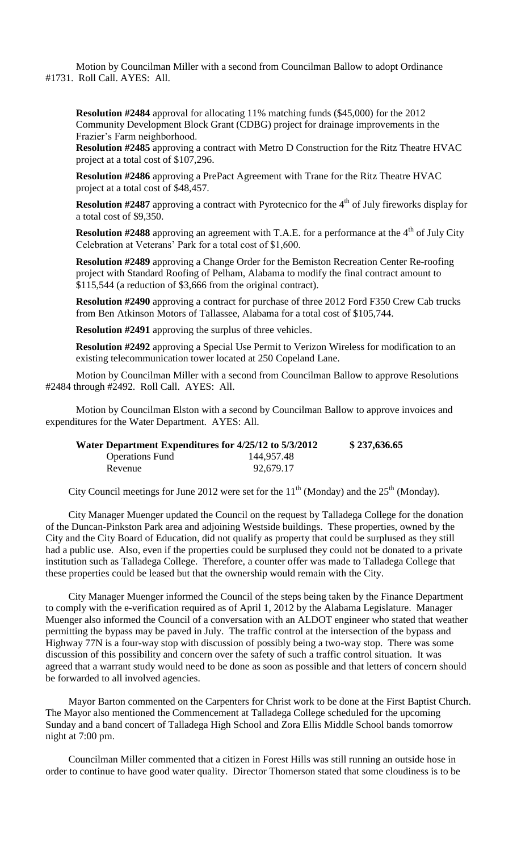Motion by Councilman Miller with a second from Councilman Ballow to adopt Ordinance #1731. Roll Call. AYES: All.

**Resolution #2484** approval for allocating 11% matching funds (\$45,000) for the 2012 Community Development Block Grant (CDBG) project for drainage improvements in the Frazier's Farm neighborhood.

**Resolution #2485** approving a contract with Metro D Construction for the Ritz Theatre HVAC project at a total cost of \$107,296.

**Resolution #2486** approving a PrePact Agreement with Trane for the Ritz Theatre HVAC project at a total cost of \$48,457.

**Resolution #2487** approving a contract with Pyrotecnico for the 4<sup>th</sup> of July fireworks display for a total cost of \$9,350.

**Resolution #2488** approving an agreement with T.A.E. for a performance at the 4<sup>th</sup> of July City Celebration at Veterans' Park for a total cost of \$1,600.

**Resolution #2489** approving a Change Order for the Bemiston Recreation Center Re-roofing project with Standard Roofing of Pelham, Alabama to modify the final contract amount to \$115,544 (a reduction of \$3,666 from the original contract).

**Resolution #2490** approving a contract for purchase of three 2012 Ford F350 Crew Cab trucks from Ben Atkinson Motors of Tallassee, Alabama for a total cost of \$105,744.

**Resolution #2491** approving the surplus of three vehicles.

**Resolution #2492** approving a Special Use Permit to Verizon Wireless for modification to an existing telecommunication tower located at 250 Copeland Lane.

Motion by Councilman Miller with a second from Councilman Ballow to approve Resolutions #2484 through #2492. Roll Call. AYES: All.

Motion by Councilman Elston with a second by Councilman Ballow to approve invoices and expenditures for the Water Department. AYES: All.

| Water Department Expenditures for 4/25/12 to 5/3/2012 |            | \$237,636.65 |
|-------------------------------------------------------|------------|--------------|
| <b>Operations</b> Fund                                | 144,957.48 |              |
| Revenue                                               | 92,679.17  |              |

City Council meetings for June 2012 were set for the  $11<sup>th</sup>$  (Monday) and the  $25<sup>th</sup>$  (Monday).

City Manager Muenger updated the Council on the request by Talladega College for the donation of the Duncan-Pinkston Park area and adjoining Westside buildings. These properties, owned by the City and the City Board of Education, did not qualify as property that could be surplused as they still had a public use. Also, even if the properties could be surplused they could not be donated to a private institution such as Talladega College. Therefore, a counter offer was made to Talladega College that these properties could be leased but that the ownership would remain with the City.

City Manager Muenger informed the Council of the steps being taken by the Finance Department to comply with the e-verification required as of April 1, 2012 by the Alabama Legislature. Manager Muenger also informed the Council of a conversation with an ALDOT engineer who stated that weather permitting the bypass may be paved in July. The traffic control at the intersection of the bypass and Highway 77N is a four-way stop with discussion of possibly being a two-way stop. There was some discussion of this possibility and concern over the safety of such a traffic control situation. It was agreed that a warrant study would need to be done as soon as possible and that letters of concern should be forwarded to all involved agencies.

Mayor Barton commented on the Carpenters for Christ work to be done at the First Baptist Church. The Mayor also mentioned the Commencement at Talladega College scheduled for the upcoming Sunday and a band concert of Talladega High School and Zora Ellis Middle School bands tomorrow night at 7:00 pm.

Councilman Miller commented that a citizen in Forest Hills was still running an outside hose in order to continue to have good water quality. Director Thomerson stated that some cloudiness is to be